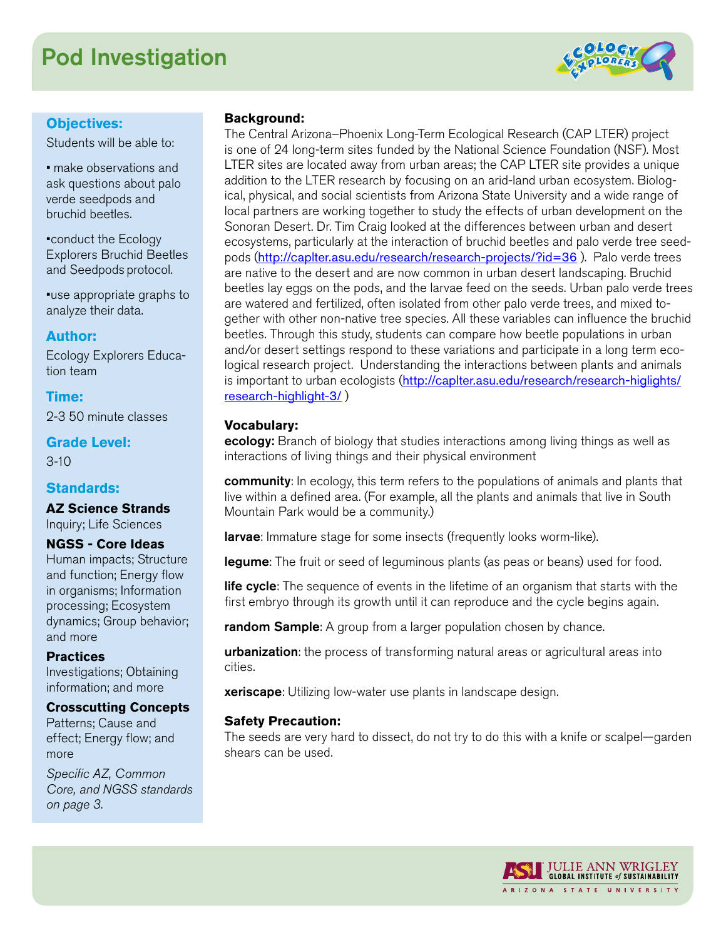# Pod Investigation



# **Objectives:**

Students will be able to:

• make observations and ask questions about palo verde seedpods and bruchid beetles.

•conduct the Ecology Explorers Bruchid Beetles and Seedpods protocol.

•use appropriate graphs to analyze their data.

## **Author:**

Ecology Explorers Education team

**Time:**  2-3 50 minute classes

**Grade Level:**  3-10

### **Standards:**

**AZ Science Strands** Inquiry; Life Sciences

### **NGSS - Core Ideas**

Human impacts; Structure and function; Energy flow in organisms; Information processing; Ecosystem dynamics; Group behavior; and more

### **Practices**

Investigations; Obtaining information; and more

### **Crosscutting Concepts**

Patterns; Cause and effect; Energy flow; and more

*Specific AZ, Common Core, and NGSS standards on page 3.*

### **Background:**

The Central Arizona–Phoenix Long-Term Ecological Research (CAP LTER) project is one of 24 long-term sites funded by the National Science Foundation (NSF). Most LTER sites are located away from urban areas; the CAP LTER site provides a unique addition to the LTER research by focusing on an arid-land urban ecosystem. Biological, physical, and social scientists from Arizona State University and a wide range of local partners are working together to study the effects of urban development on the Sonoran Desert. Dr. Tim Craig looked at the differences between urban and desert ecosystems, particularly at the interaction of bruchid beetles and palo verde tree seedpods (<http://caplter.asu.edu/research/research-projects/?id=36> ). Palo verde trees are native to the desert and are now common in urban desert landscaping. Bruchid beetles lay eggs on the pods, and the larvae feed on the seeds. Urban palo verde trees are watered and fertilized, often isolated from other palo verde trees, and mixed together with other non-native tree species. All these variables can influence the bruchid beetles. Through this study, students can compare how beetle populations in urban and/or desert settings respond to these variations and participate in a long term ecological research project. Understanding the interactions between plants and animals is important to urban ecologists ([http://caplter.asu.edu/research/research-higlights/](http://caplter.asu.edu/research/research-higlights/research-highlight-3/) [research-highlight-3/](http://caplter.asu.edu/research/research-higlights/research-highlight-3/) )

### **Vocabulary:**

ecology: Branch of biology that studies interactions among living things as well as interactions of living things and their physical environment

**community**: In ecology, this term refers to the populations of animals and plants that live within a defined area. (For example, all the plants and animals that live in South Mountain Park would be a community.)

larvae: Immature stage for some insects (frequently looks worm-like).

legume: The fruit or seed of leguminous plants (as peas or beans) used for food.

life cycle: The sequence of events in the lifetime of an organism that starts with the first embryo through its growth until it can reproduce and the cycle begins again.

**random Sample:** A group from a larger population chosen by chance.

**urbanization**: the process of transforming natural areas or agricultural areas into cities.

**xeriscape**: Utilizing low-water use plants in landscape design.

### **Safety Precaution:**

The seeds are very hard to dissect, do not try to do this with a knife or scalpel—garden shears can be used.

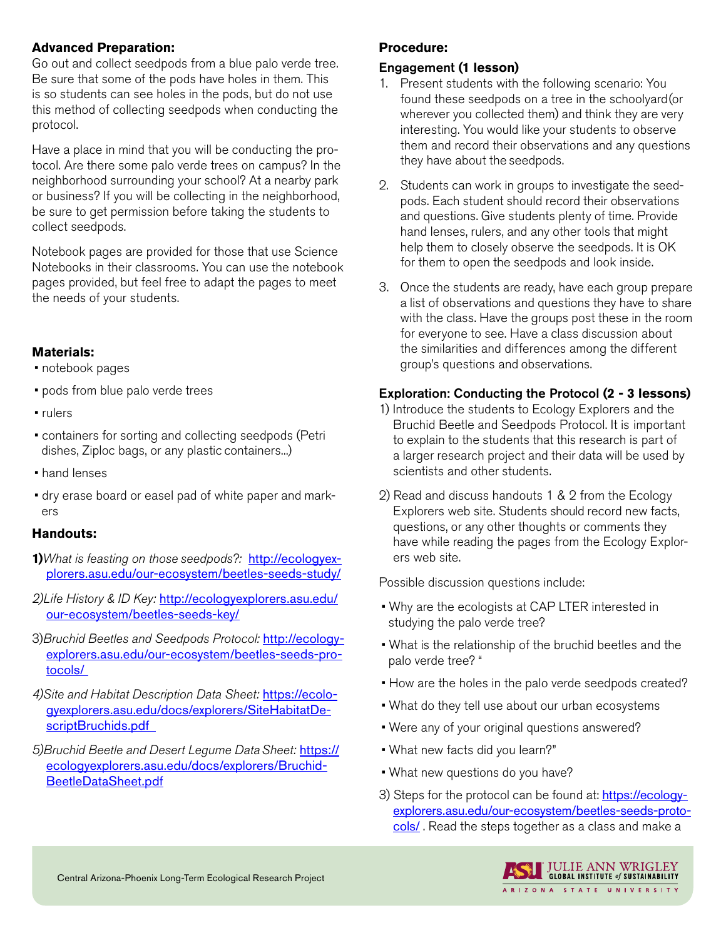### **Advanced Preparation:**

Go out and collect seedpods from a blue palo verde tree. Be sure that some of the pods have holes in them. This is so students can see holes in the pods, but do not use this method of collecting seedpods when conducting the protocol.

Have a place in mind that you will be conducting the protocol. Are there some palo verde trees on campus? In the neighborhood surrounding your school? At a nearby park or business? If you will be collecting in the neighborhood, be sure to get permission before taking the students to collect seedpods.

Notebook pages are provided for those that use Science Notebooks in their classrooms. You can use the notebook pages provided, but feel free to adapt the pages to meet the needs of your students.

# **Materials:**

• notebook pages

- pods from blue palo verde trees
- rulers
- containers for sorting and collecting seedpods (Petri dishes, Ziploc bags, or any plastic containers...)
- hand lenses
- dry erase board or easel pad of white paper and markers

### **Handouts:**

- **1)***What is feasting on those seedpods?:* [http://ecologyex](http://ecologyexplorers.asu.edu/our-ecosystem/beetles-seeds-study/)[plorers.asu.edu/our-ecosystem/beetles-seeds-study/](http://ecologyexplorers.asu.edu/our-ecosystem/beetles-seeds-study/)
- *2)Life History & ID Key:* [http://ecologyexplorers.asu.edu/](http://ecologyexplorers.asu.edu/our-ecosystem/beetles-seeds-key/) [our-ecosystem/beetles-seeds-key/](http://ecologyexplorers.asu.edu/our-ecosystem/beetles-seeds-key/)
- 3)*Bruchid Beetles and Seedpods Protocol:* [http://ecology](http://ecologyexplorers.asu.edu/our-ecosystem/beetles-seeds-protocols/)[explorers.asu.edu/our-ecosystem/beetles-seeds-pro](http://ecologyexplorers.asu.edu/our-ecosystem/beetles-seeds-protocols/)[tocols/](http://ecologyexplorers.asu.edu/our-ecosystem/beetles-seeds-protocols/)
- *4)Site and Habitat Description Data Sheet:* [https://ecolo](https://ecologyexplorers.asu.edu/docs/explorers/SiteHabitatDescriptBruchids.pdf)[gyexplorers.asu.edu/docs/explorers/SiteHabitatDe](https://ecologyexplorers.asu.edu/docs/explorers/SiteHabitatDescriptBruchids.pdf)scriptBruchids.pdf
- *5)Bruchid Beetle and Desert Legume Data Sheet:* [https://](https://ecologyexplorers.asu.edu/docs/explorers/BruchidBeetleDataSheet.pdf) [ecologyexplorers.asu.edu/docs/explorers/Bruchid-](https://ecologyexplorers.asu.edu/docs/explorers/BruchidBeetleDataSheet.pdf)[BeetleDataSheet.pdf](https://ecologyexplorers.asu.edu/docs/explorers/BruchidBeetleDataSheet.pdf)

# **Procedure:**

# Engagement **(1 lesson)**

- 1. Present students with the following scenario: You found these seedpods on a tree in the schoolyard (or wherever you collected them) and think they are very interesting. You would like your students to observe them and record their observations and any questions they have about the seedpods.
- 2. Students can work in groups to investigate the seedpods. Each student should record their observations and questions. Give students plenty of time. Provide hand lenses, rulers, and any other tools that might help them to closely observe the seedpods. It is OK for them to open the seedpods and look inside.
- 3. Once the students are ready, have each group prepare a list of observations and questions they have to share with the class. Have the groups post these in the room for everyone to see. Have a class discussion about the similarities and differences among the different group's questions and observations.

# Exploration: Conducting the Protocol **(2 - 3 lessons)**

- 1) Introduce the students to Ecology Explorers and the Bruchid Beetle and Seedpods Protocol. It is important to explain to the students that this research is part of a larger research project and their data will be used by scientists and other students.
- 2) Read and discuss handouts 1 & 2 from the Ecology Explorers web site. Students should record new facts, questions, or any other thoughts or comments they have while reading the pages from the Ecology Explorers web site.

Possible discussion questions include:

- Why are the ecologists at CAP LTER interested in studying the palo verde tree?
- What is the relationship of the bruchid beetles and the palo verde tree? "
- How are the holes in the palo verde seedpods created?
- What do they tell use about our urban ecosystems
- Were any of your original questions answered?
- What new facts did you learn?"
- What new questions do you have?
- 3) Steps for the protocol can be found at: [https://ecology](https://ecologyexplorers.asu.edu/our-ecosystem/beetles-seeds-protocols/)[explorers.asu.edu/our-ecosystem/beetles-seeds-proto](https://ecologyexplorers.asu.edu/our-ecosystem/beetles-seeds-protocols/)[cols/](https://ecologyexplorers.asu.edu/our-ecosystem/beetles-seeds-protocols/). Read the steps together as a class and make a

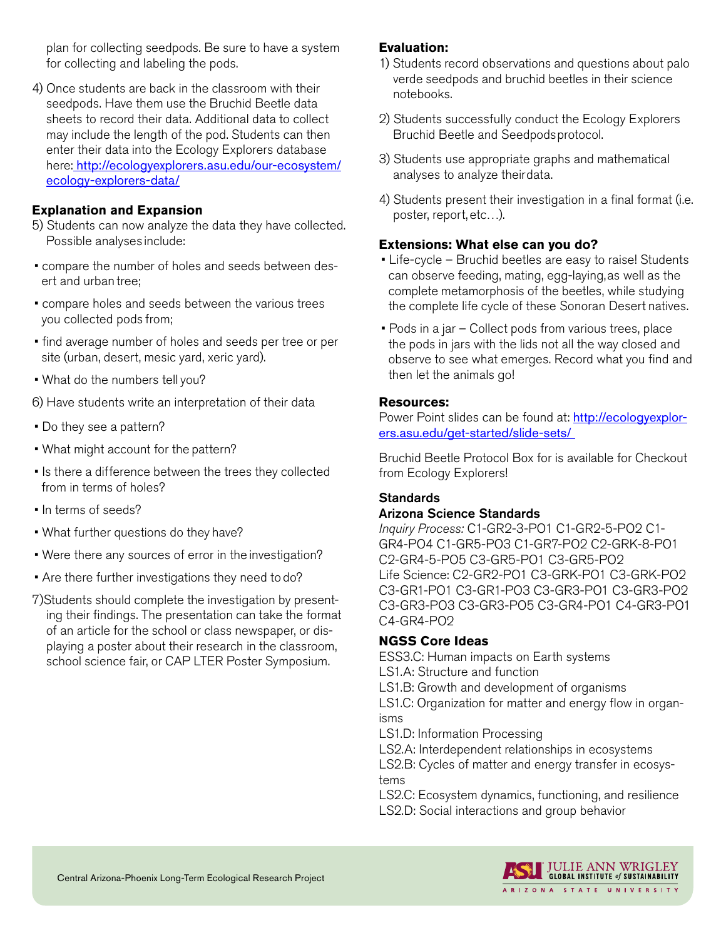plan for collecting seedpods. Be sure to have a system for collecting and labeling the pods.

4) Once students are back in the classroom with their seedpods. Have them use the Bruchid Beetle data sheets to record their data. Additional data to collect may include the length of the pod. Students can then enter their data into the Ecology Explorers database here: [http://ecologyexplorers.asu.edu/our-ecosystem/](http://ecologyexplorers.asu.edu/our-ecosystem/ecology-explorers-data/) [ecology-explorers-data/](http://ecologyexplorers.asu.edu/our-ecosystem/ecology-explorers-data/)

### **Explanation and Expansion**

- 5) Students can now analyze the data they have collected. Possible analyses include:
- compare the number of holes and seeds between desert and urban tree;
- compare holes and seeds between the various trees you collected pods from;
- find average number of holes and seeds per tree or per site (urban, desert, mesic yard, xeric yard).
- What do the numbers tell you?
- 6) Have students write an interpretation of their data
- Do they see a pattern?
- What might account for the pattern?
- Is there a difference between the trees they collected from in terms of holes?
- In terms of seeds?
- What further questions do they have?
- Were there any sources of error in the investigation?
- Are there further investigations they need to do?
- 7)Students should complete the investigation by presenting their findings. The presentation can take the format of an article for the school or class newspaper, or displaying a poster about their research in the classroom, school science fair, or CAP LTER Poster Symposium.

### **Evaluation:**

- 1) Students record observations and questions about palo verde seedpods and bruchid beetles in their science notebooks.
- 2) Students successfully conduct the Ecology Explorers Bruchid Beetle and Seedpods protocol.
- 3) Students use appropriate graphs and mathematical analyses to analyze their data.
- 4) Students present their investigation in a final format (i.e. poster, report, etc…).

### **Extensions: What else can you do?**

- Life-cycle Bruchid beetles are easy to raise! Students can observe feeding, mating, egg-laying, as well as the complete metamorphosis of the beetles, while studying the complete life cycle of these Sonoran Desert natives.
- Pods in a jar Collect pods from various trees, place the pods in jars with the lids not all the way closed and observe to see what emerges. Record what you find and then let the animals go!

### **Resources:**

Power Point slides can be found at: [http://ecologyexplor](http://ecologyexplorers.asu.edu/get-started/slide-sets/)[ers.asu.edu/get-started/slide-sets/](http://ecologyexplorers.asu.edu/get-started/slide-sets/)

Bruchid Beetle Protocol Box for is available for Checkout from Ecology Explorers!

### **Standards**

### Arizona Science Standards

*Inquiry Process:* C1-GR2-3-PO1 C1-GR2-5-PO2 C1- GR4-PO4 C1-GR5-PO3 C1-GR7-PO2 C2-GRK-8-PO1 C2-GR4-5-PO5 C3-GR5-PO1 C3-GR5-PO2 Life Science: C2-GR2-PO1 C3-GRK-PO1 C3-GRK-PO2 C3-GR1-PO1 C3-GR1-PO3 C3-GR3-PO1 C3-GR3-PO2 C3-GR3-PO3 C3-GR3-PO5 C3-GR4-PO1 C4-GR3-PO1 C4-GR4-PO2

### **NGSS Core Ideas**

ESS3.C: Human impacts on Earth systems

LS1.A: Structure and function

LS1.B: Growth and development of organisms

LS1.C: Organization for matter and energy flow in organisms

LS1.D: Information Processing

LS2.A: Interdependent relationships in ecosystems

LS2.B: Cycles of matter and energy transfer in ecosystems

LS2.C: Ecosystem dynamics, functioning, and resilience LS2.D: Social interactions and group behavior

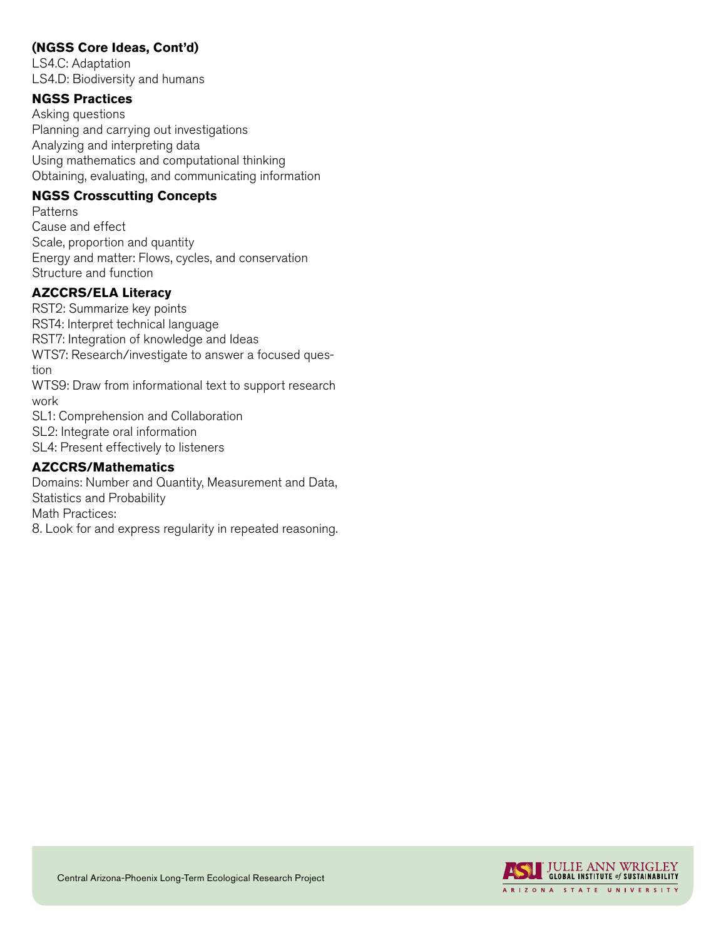# **(NGSS Core Ideas, Cont'd)**

LS4.C: Adaptation LS4.D: Biodiversity and humans

### **NGSS Practices**

Asking questions Planning and carrying out investigations Analyzing and interpreting data Using mathematics and computational thinking Obtaining, evaluating, and communicating information

### **NGSS Crosscutting Concepts**

**Patterns** Cause and effect Scale, proportion and quantity Energy and matter: Flows, cycles, and conservation Structure and function

## **AZCCRS/ELA Literacy**

RST2: Summarize key points RST4: Interpret technical language RST7: Integration of knowledge and Ideas WTS7: Research/investigate to answer a focused question WTS9: Draw from informational text to support research

work

SL1: Comprehension and Collaboration

SL2: Integrate oral information

SL4: Present effectively to listeners

### **AZCCRS/Mathematics**

Domains: Number and Quantity, Measurement and Data, Statistics and Probability Math Practices:

8. Look for and express regularity in repeated reasoning.